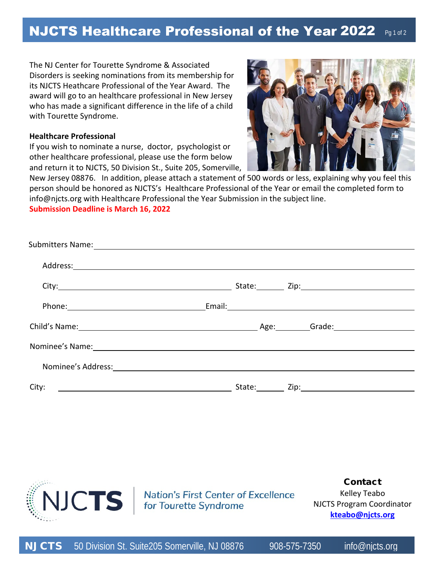## NJCTS Healthcare Professional of the Year 2022  $_{\text{Pg1 of 2}}$

The NJ Center for Tourette Syndrome & Associated Disorders is seeking nominations from its membership for its NJCTS Heathcare Professional of the Year Award. The award will go to an healthcare professional in New Jersey who has made a significant difference in the life of a child with Tourette Syndrome.

## **Healthcare Professional**

If you wish to nominate a nurse, doctor, psychologist or other healthcare professional, please use the form below and return it to NJCTS, 50 Division St., Suite 205, Somerville,



New Jersey 08876. In addition, please attach a statement of 500 words or less, explaining why you feel this person should be honored as NJCTS's Healthcare Professional of the Year or email the completed form to info@njcts.org with Healthcare Professional the Year Submission in the subject line.

**Submission Deadline is March 16, 2022** 

| Submitters Name: Name and Submitters Name and Submitters Name and Submitters Name and Submitters of the Submit                                                                                                                 |  |
|--------------------------------------------------------------------------------------------------------------------------------------------------------------------------------------------------------------------------------|--|
|                                                                                                                                                                                                                                |  |
|                                                                                                                                                                                                                                |  |
| Phone: Email: Email: Email: Email: Email: Email: Email: Email: Email: Email: Email: Email: Email: Email: Email: Email: Email: Email: Email: Email: Email: Email: Email: Email: Email: Email: Email: Email: Email: Email: Email |  |
| Child's Name: Child's Name: Child's Name: Child's Name: Child's Name: Child's Name: Child's Name: Childen and Childen and Childen and Childen and Childen and Childen and Childen and Childen and Childen and Childen and Chil |  |
| Nominee's Name: 1988 Contract Contract Contract Contract Contract Contract Contract Contract Contract Contract Contract Contract Contract Contract Contract Contract Contract Contract Contract Contract Contract Contract Con |  |
| Nominee's Address: 1988 and 1989 and 1989 and 1989 and 1989 and 1989 and 1989 and 1989 and 1989 and 1989 and 1                                                                                                                 |  |
| City:<br><u> 1980 - John Stone, amerikansk politiker (d. 1980)</u>                                                                                                                                                             |  |